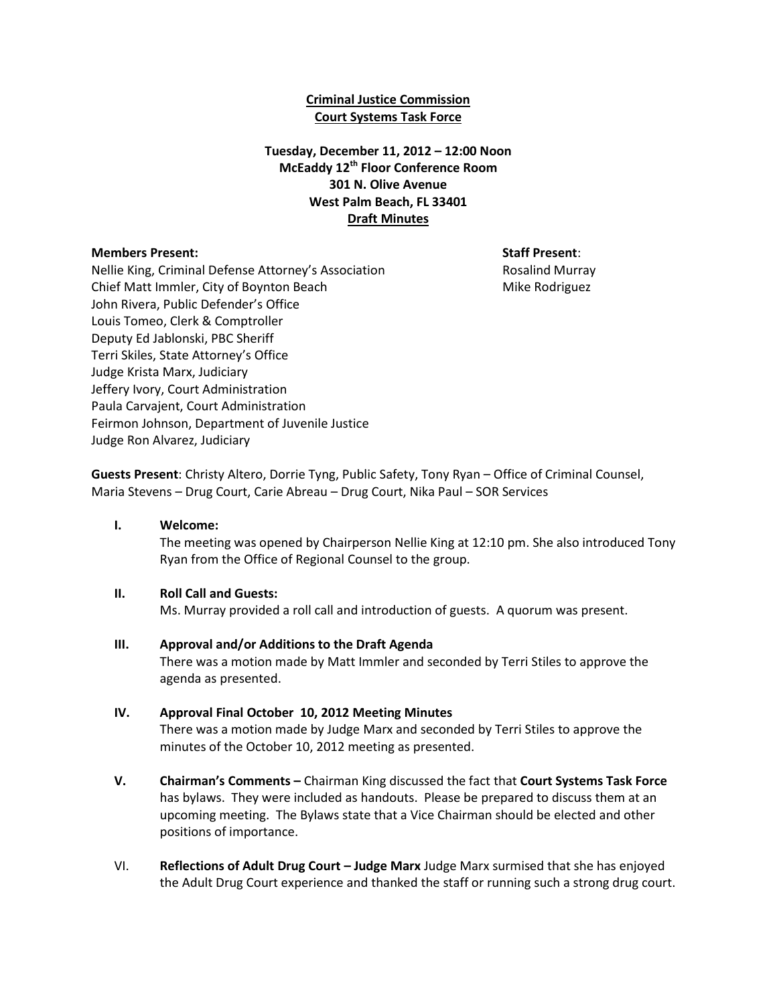## **Criminal Justice Commission Court Systems Task Force**

# **Tuesday, December 11, 2012 – 12:00 Noon McEaddy 12th Floor Conference Room 301 N. Olive Avenue West Palm Beach, FL 33401 Draft Minutes**

### **Members Present: Staff Present**:

Nellie King, Criminal Defense Attorney's Association **Research Rosalind Murray** Chief Matt Immler, City of Boynton Beach Mike Rodriguez Mike Rodriguez John Rivera, Public Defender's Office Louis Tomeo, Clerk & Comptroller Deputy Ed Jablonski, PBC Sheriff Terri Skiles, State Attorney's Office Judge Krista Marx, Judiciary Jeffery Ivory, Court Administration Paula Carvajent, Court Administration Feirmon Johnson, Department of Juvenile Justice Judge Ron Alvarez, Judiciary

**Guests Present**: Christy Altero, Dorrie Tyng, Public Safety, Tony Ryan – Office of Criminal Counsel, Maria Stevens – Drug Court, Carie Abreau – Drug Court, Nika Paul – SOR Services

**I. Welcome:**

The meeting was opened by Chairperson Nellie King at 12:10 pm. She also introduced Tony Ryan from the Office of Regional Counsel to the group.

### **II. Roll Call and Guests:**

Ms. Murray provided a roll call and introduction of guests. A quorum was present.

### **III. Approval and/or Additions to the Draft Agenda**

There was a motion made by Matt Immler and seconded by Terri Stiles to approve the agenda as presented.

#### **IV. Approval Final October 10, 2012 Meeting Minutes**

There was a motion made by Judge Marx and seconded by Terri Stiles to approve the minutes of the October 10, 2012 meeting as presented.

- **V. Chairman's Comments –** Chairman King discussed the fact that **Court Systems Task Force** has bylaws. They were included as handouts. Please be prepared to discuss them at an upcoming meeting. The Bylaws state that a Vice Chairman should be elected and other positions of importance.
- VI. **Reflections of Adult Drug Court – Judge Marx** Judge Marx surmised that she has enjoyed the Adult Drug Court experience and thanked the staff or running such a strong drug court.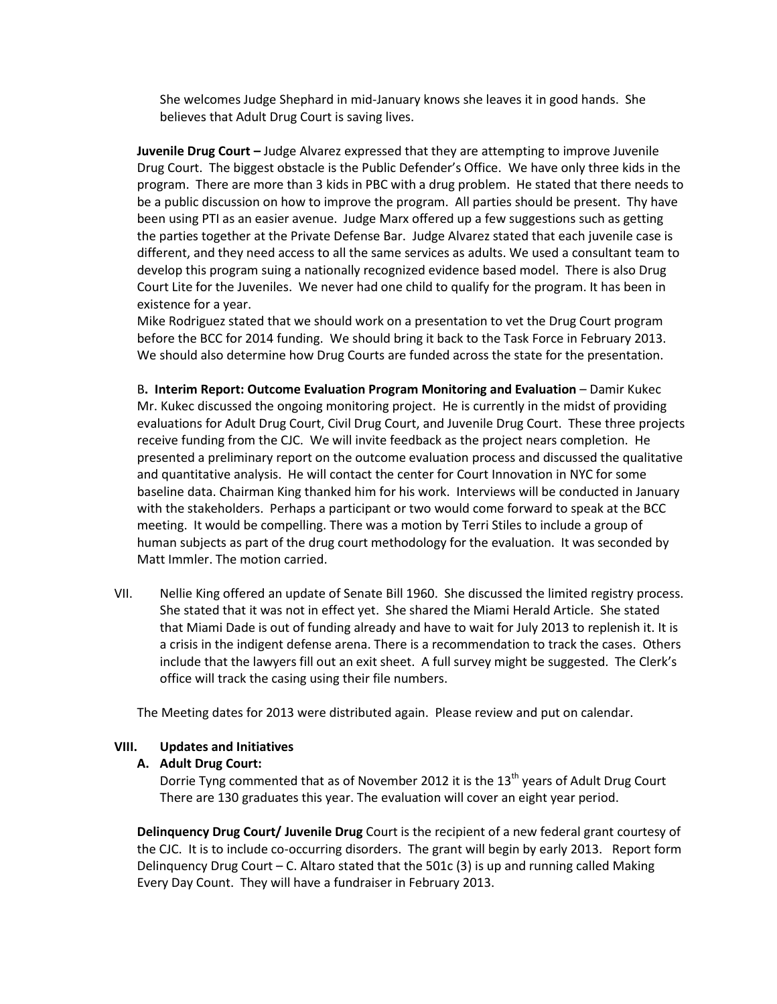She welcomes Judge Shephard in mid-January knows she leaves it in good hands. She believes that Adult Drug Court is saving lives.

**Juvenile Drug Court –** Judge Alvarez expressed that they are attempting to improve Juvenile Drug Court. The biggest obstacle is the Public Defender's Office. We have only three kids in the program. There are more than 3 kids in PBC with a drug problem. He stated that there needs to be a public discussion on how to improve the program. All parties should be present. Thy have been using PTI as an easier avenue. Judge Marx offered up a few suggestions such as getting the parties together at the Private Defense Bar. Judge Alvarez stated that each juvenile case is different, and they need access to all the same services as adults. We used a consultant team to develop this program suing a nationally recognized evidence based model. There is also Drug Court Lite for the Juveniles. We never had one child to qualify for the program. It has been in existence for a year.

Mike Rodriguez stated that we should work on a presentation to vet the Drug Court program before the BCC for 2014 funding. We should bring it back to the Task Force in February 2013. We should also determine how Drug Courts are funded across the state for the presentation.

B**. Interim Report: Outcome Evaluation Program Monitoring and Evaluation** – Damir Kukec Mr. Kukec discussed the ongoing monitoring project. He is currently in the midst of providing evaluations for Adult Drug Court, Civil Drug Court, and Juvenile Drug Court. These three projects receive funding from the CJC. We will invite feedback as the project nears completion. He presented a preliminary report on the outcome evaluation process and discussed the qualitative and quantitative analysis. He will contact the center for Court Innovation in NYC for some baseline data. Chairman King thanked him for his work. Interviews will be conducted in January with the stakeholders. Perhaps a participant or two would come forward to speak at the BCC meeting. It would be compelling. There was a motion by Terri Stiles to include a group of human subjects as part of the drug court methodology for the evaluation. It was seconded by Matt Immler. The motion carried.

VII. Nellie King offered an update of Senate Bill 1960. She discussed the limited registry process. She stated that it was not in effect yet. She shared the Miami Herald Article. She stated that Miami Dade is out of funding already and have to wait for July 2013 to replenish it. It is a crisis in the indigent defense arena. There is a recommendation to track the cases. Others include that the lawyers fill out an exit sheet. A full survey might be suggested. The Clerk's office will track the casing using their file numbers.

The Meeting dates for 2013 were distributed again. Please review and put on calendar.

### **VIII. Updates and Initiatives**

### **A. Adult Drug Court:**

Dorrie Tyng commented that as of November 2012 it is the  $13<sup>th</sup>$  years of Adult Drug Court There are 130 graduates this year. The evaluation will cover an eight year period.

**Delinquency Drug Court/ Juvenile Drug** Court is the recipient of a new federal grant courtesy of the CJC. It is to include co-occurring disorders. The grant will begin by early 2013. Report form Delinguency Drug Court – C. Altaro stated that the 501c  $(3)$  is up and running called Making Every Day Count. They will have a fundraiser in February 2013.